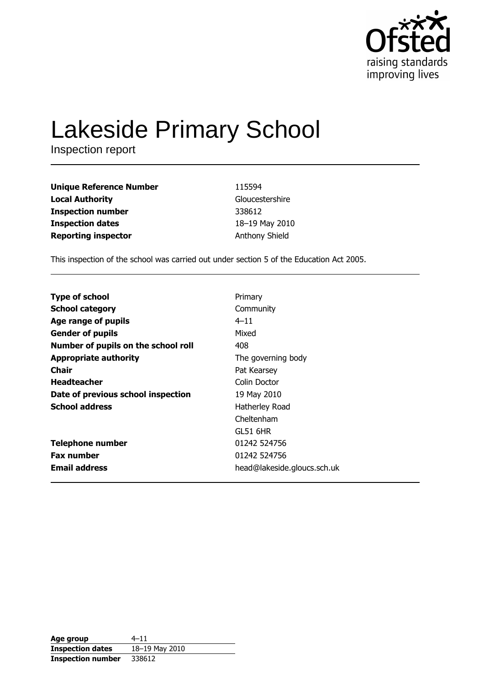

# **Lakeside Primary School**

Inspection report

| <b>Unique Reference Number</b> | 115594                |
|--------------------------------|-----------------------|
| <b>Local Authority</b>         | Gloucestershire       |
| <b>Inspection number</b>       | 338612                |
| <b>Inspection dates</b>        | 18-19 May 2010        |
| <b>Reporting inspector</b>     | <b>Anthony Shield</b> |

This inspection of the school was carried out under section 5 of the Education Act 2005.

| <b>Type of school</b><br>Primary<br><b>School category</b><br>Community<br>$4 - 11$<br>Age range of pupils<br>Mixed<br><b>Gender of pupils</b> |
|------------------------------------------------------------------------------------------------------------------------------------------------|
|                                                                                                                                                |
|                                                                                                                                                |
|                                                                                                                                                |
|                                                                                                                                                |
| Number of pupils on the school roll<br>408                                                                                                     |
| <b>Appropriate authority</b><br>The governing body                                                                                             |
| Chair<br>Pat Kearsey                                                                                                                           |
| <b>Headteacher</b><br>Colin Doctor                                                                                                             |
| Date of previous school inspection<br>19 May 2010                                                                                              |
| <b>School address</b><br>Hatherley Road                                                                                                        |
| Cheltenham                                                                                                                                     |
| GL51 6HR                                                                                                                                       |
| 01242 524756<br><b>Telephone number</b>                                                                                                        |
| <b>Fax number</b><br>01242 524756                                                                                                              |
| <b>Email address</b><br>head@lakeside.gloucs.sch.uk                                                                                            |

| Age group               | $4 - 11$       |
|-------------------------|----------------|
| <b>Inspection dates</b> | 18-19 May 2010 |
| Inspection number       | 338612         |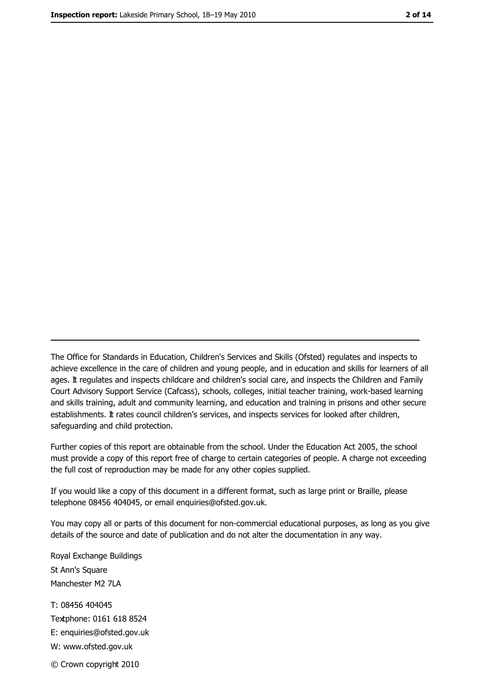The Office for Standards in Education, Children's Services and Skills (Ofsted) regulates and inspects to achieve excellence in the care of children and young people, and in education and skills for learners of all ages. It regulates and inspects childcare and children's social care, and inspects the Children and Family Court Advisory Support Service (Cafcass), schools, colleges, initial teacher training, work-based learning and skills training, adult and community learning, and education and training in prisons and other secure establishments. It rates council children's services, and inspects services for looked after children, safequarding and child protection.

Further copies of this report are obtainable from the school. Under the Education Act 2005, the school must provide a copy of this report free of charge to certain categories of people. A charge not exceeding the full cost of reproduction may be made for any other copies supplied.

If you would like a copy of this document in a different format, such as large print or Braille, please telephone 08456 404045, or email enquiries@ofsted.gov.uk.

You may copy all or parts of this document for non-commercial educational purposes, as long as you give details of the source and date of publication and do not alter the documentation in any way.

Royal Exchange Buildings St Ann's Square Manchester M2 7LA T: 08456 404045 Textphone: 0161 618 8524 E: enquiries@ofsted.gov.uk W: www.ofsted.gov.uk © Crown copyright 2010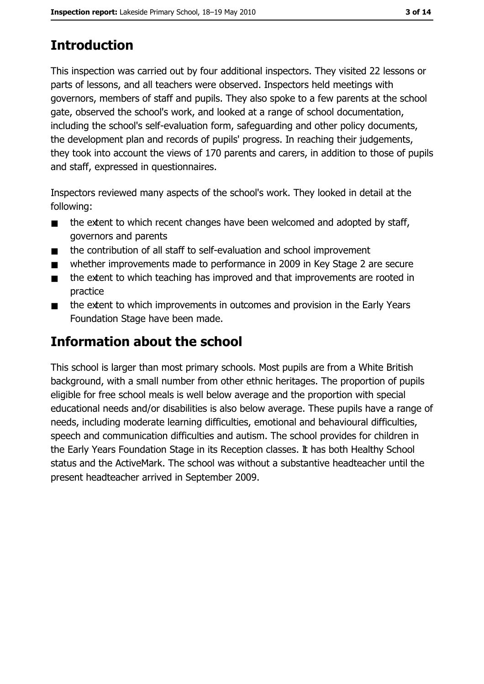# **Introduction**

This inspection was carried out by four additional inspectors. They visited 22 lessons or parts of lessons, and all teachers were observed. Inspectors held meetings with governors, members of staff and pupils. They also spoke to a few parents at the school gate, observed the school's work, and looked at a range of school documentation, including the school's self-evaluation form, safeguarding and other policy documents, the development plan and records of pupils' progress. In reaching their judgements, they took into account the views of 170 parents and carers, in addition to those of pupils and staff, expressed in questionnaires.

Inspectors reviewed many aspects of the school's work. They looked in detail at the following:

- the extent to which recent changes have been welcomed and adopted by staff,  $\blacksquare$ governors and parents
- the contribution of all staff to self-evaluation and school improvement  $\blacksquare$
- whether improvements made to performance in 2009 in Key Stage 2 are secure
- the extent to which teaching has improved and that improvements are rooted in  $\blacksquare$ practice
- the extent to which improvements in outcomes and provision in the Early Years  $\blacksquare$ Foundation Stage have been made.

### Information about the school

This school is larger than most primary schools. Most pupils are from a White British background, with a small number from other ethnic heritages. The proportion of pupils eligible for free school meals is well below average and the proportion with special educational needs and/or disabilities is also below average. These pupils have a range of needs, including moderate learning difficulties, emotional and behavioural difficulties, speech and communication difficulties and autism. The school provides for children in the Early Years Foundation Stage in its Reception classes. It has both Healthy School status and the ActiveMark. The school was without a substantive headteacher until the present headteacher arrived in September 2009.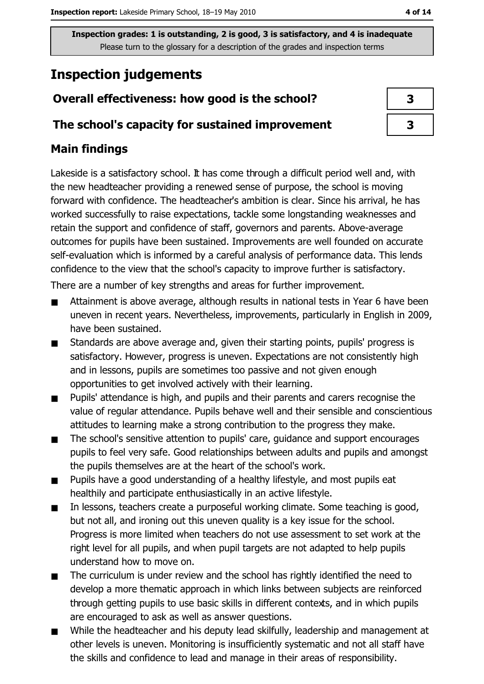### **Inspection judgements**

### Overall effectiveness: how good is the school?

### The school's capacity for sustained improvement

### **Main findings**

Lakeside is a satisfactory school. It has come through a difficult period well and, with the new headteacher providing a renewed sense of purpose, the school is moving forward with confidence. The headteacher's ambition is clear. Since his arrival, he has worked successfully to raise expectations, tackle some longstanding weaknesses and retain the support and confidence of staff, governors and parents. Above-average outcomes for pupils have been sustained. Improvements are well founded on accurate self-evaluation which is informed by a careful analysis of performance data. This lends confidence to the view that the school's capacity to improve further is satisfactory.

There are a number of key strengths and areas for further improvement.

- Attainment is above average, although results in national tests in Year 6 have been uneven in recent years. Nevertheless, improvements, particularly in English in 2009, have been sustained.
- Standards are above average and, given their starting points, pupils' progress is  $\blacksquare$ satisfactory. However, progress is uneven. Expectations are not consistently high and in lessons, pupils are sometimes too passive and not given enough opportunities to get involved actively with their learning.
- Pupils' attendance is high, and pupils and their parents and carers recognise the  $\blacksquare$ value of regular attendance. Pupils behave well and their sensible and conscientious attitudes to learning make a strong contribution to the progress they make.
- The school's sensitive attention to pupils' care, guidance and support encourages  $\blacksquare$ pupils to feel very safe. Good relationships between adults and pupils and amongst the pupils themselves are at the heart of the school's work.
- Pupils have a good understanding of a healthy lifestyle, and most pupils eat  $\blacksquare$ healthily and participate enthusiastically in an active lifestyle.
- In lessons, teachers create a purposeful working climate. Some teaching is good,  $\blacksquare$ but not all, and ironing out this uneven quality is a key issue for the school. Progress is more limited when teachers do not use assessment to set work at the right level for all pupils, and when pupil targets are not adapted to help pupils understand how to move on.
- The curriculum is under review and the school has rightly identified the need to  $\blacksquare$ develop a more thematic approach in which links between subjects are reinforced through getting pupils to use basic skills in different contexts, and in which pupils are encouraged to ask as well as answer questions.
- While the headteacher and his deputy lead skilfully, leadership and management at other levels is uneven. Monitoring is insufficiently systematic and not all staff have the skills and confidence to lead and manage in their areas of responsibility.

4 of 14

| 3 |
|---|
| 3 |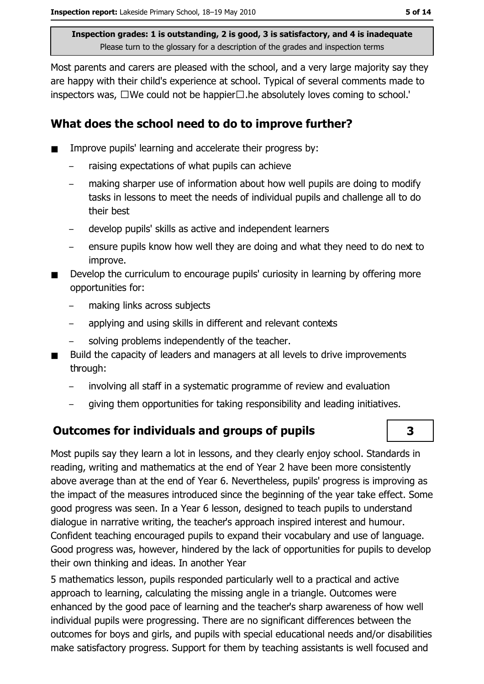Most parents and carers are pleased with the school, and a very large majority say they are happy with their child's experience at school. Typical of several comments made to inspectors was,  $\square$  We could not be happier  $\square$ . he absolutely loves coming to school.'

### What does the school need to do to improve further?

- Improve pupils' learning and accelerate their progress by:
	- raising expectations of what pupils can achieve
	- making sharper use of information about how well pupils are doing to modify tasks in lessons to meet the needs of individual pupils and challenge all to do their best
	- develop pupils' skills as active and independent learners
	- ensure pupils know how well they are doing and what they need to do next to improve.
- Develop the curriculum to encourage pupils' curiosity in learning by offering more opportunities for:
	- making links across subjects
	- applying and using skills in different and relevant contexts
	- solving problems independently of the teacher.
- Build the capacity of leaders and managers at all levels to drive improvements through:
	- involving all staff in a systematic programme of review and evaluation
	- giving them opportunities for taking responsibility and leading initiatives.

### **Outcomes for individuals and groups of pupils**

Most pupils say they learn a lot in lessons, and they clearly enjoy school. Standards in reading, writing and mathematics at the end of Year 2 have been more consistently above average than at the end of Year 6. Nevertheless, pupils' progress is improving as the impact of the measures introduced since the beginning of the year take effect. Some good progress was seen. In a Year 6 lesson, designed to teach pupils to understand dialogue in narrative writing, the teacher's approach inspired interest and humour. Confident teaching encouraged pupils to expand their vocabulary and use of language. Good progress was, however, hindered by the lack of opportunities for pupils to develop their own thinking and ideas. In another Year

5 mathematics lesson, pupils responded particularly well to a practical and active approach to learning, calculating the missing angle in a triangle. Outcomes were enhanced by the good pace of learning and the teacher's sharp awareness of how well individual pupils were progressing. There are no significant differences between the outcomes for boys and girls, and pupils with special educational needs and/or disabilities make satisfactory progress. Support for them by teaching assistants is well focused and

# $\overline{\mathbf{3}}$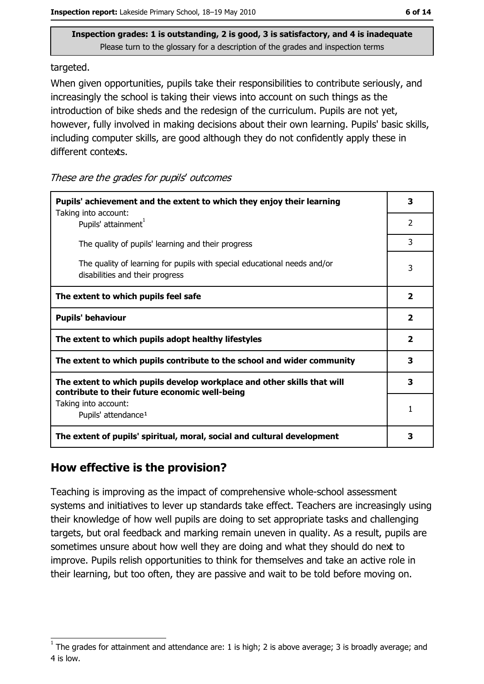targeted.

When given opportunities, pupils take their responsibilities to contribute seriously, and increasingly the school is taking their views into account on such things as the introduction of bike sheds and the redesign of the curriculum. Pupils are not vet. however, fully involved in making decisions about their own learning. Pupils' basic skills, including computer skills, are good although they do not confidently apply these in different contexts.

These are the grades for pupils' outcomes

| Pupils' achievement and the extent to which they enjoy their learning                                                     |  |  |  |
|---------------------------------------------------------------------------------------------------------------------------|--|--|--|
| Taking into account:<br>Pupils' attainment <sup>1</sup>                                                                   |  |  |  |
| The quality of pupils' learning and their progress                                                                        |  |  |  |
| The quality of learning for pupils with special educational needs and/or<br>disabilities and their progress               |  |  |  |
| The extent to which pupils feel safe                                                                                      |  |  |  |
| <b>Pupils' behaviour</b>                                                                                                  |  |  |  |
| The extent to which pupils adopt healthy lifestyles                                                                       |  |  |  |
| The extent to which pupils contribute to the school and wider community                                                   |  |  |  |
| The extent to which pupils develop workplace and other skills that will<br>contribute to their future economic well-being |  |  |  |
| Taking into account:<br>Pupils' attendance <sup>1</sup>                                                                   |  |  |  |
| The extent of pupils' spiritual, moral, social and cultural development                                                   |  |  |  |

### How effective is the provision?

Teaching is improving as the impact of comprehensive whole-school assessment systems and initiatives to lever up standards take effect. Teachers are increasingly using their knowledge of how well pupils are doing to set appropriate tasks and challenging targets, but oral feedback and marking remain uneven in quality. As a result, pupils are sometimes unsure about how well they are doing and what they should do next to improve. Pupils relish opportunities to think for themselves and take an active role in their learning, but too often, they are passive and wait to be told before moving on.

The grades for attainment and attendance are: 1 is high; 2 is above average; 3 is broadly average; and 4 is low.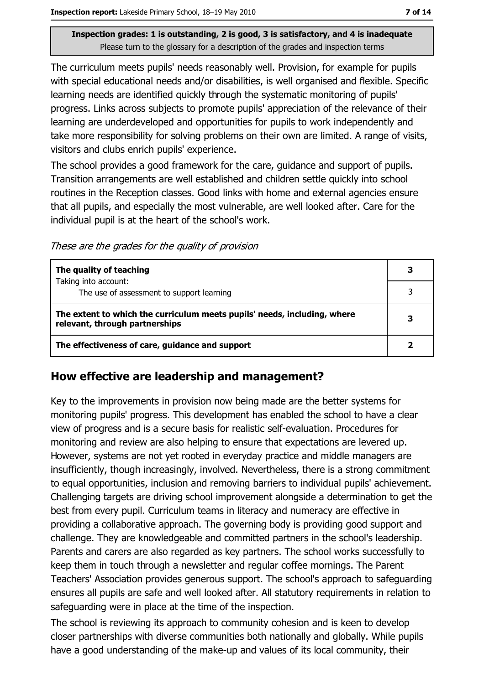The curriculum meets pupils' needs reasonably well. Provision, for example for pupils with special educational needs and/or disabilities, is well organised and flexible. Specific learning needs are identified quickly through the systematic monitoring of pupils' progress. Links across subjects to promote pupils' appreciation of the relevance of their learning are underdeveloped and opportunities for pupils to work independently and take more responsibility for solving problems on their own are limited. A range of visits, visitors and clubs enrich pupils' experience.

The school provides a good framework for the care, guidance and support of pupils. Transition arrangements are well established and children settle quickly into school routines in the Reception classes. Good links with home and external agencies ensure that all pupils, and especially the most vulnerable, are well looked after. Care for the individual pupil is at the heart of the school's work.

These are the grades for the quality of provision

| The quality of teaching                                                                                    |  |
|------------------------------------------------------------------------------------------------------------|--|
| Taking into account:<br>The use of assessment to support learning                                          |  |
| The extent to which the curriculum meets pupils' needs, including, where<br>relevant, through partnerships |  |
| The effectiveness of care, guidance and support                                                            |  |

### How effective are leadership and management?

Key to the improvements in provision now being made are the better systems for monitoring pupils' progress. This development has enabled the school to have a clear view of progress and is a secure basis for realistic self-evaluation. Procedures for monitoring and review are also helping to ensure that expectations are levered up. However, systems are not yet rooted in everyday practice and middle managers are insufficiently, though increasingly, involved. Nevertheless, there is a strong commitment to equal opportunities, inclusion and removing barriers to individual pupils' achievement. Challenging targets are driving school improvement alongside a determination to get the best from every pupil. Curriculum teams in literacy and numeracy are effective in providing a collaborative approach. The governing body is providing good support and challenge. They are knowledgeable and committed partners in the school's leadership. Parents and carers are also regarded as key partners. The school works successfully to keep them in touch through a newsletter and regular coffee mornings. The Parent Teachers' Association provides generous support. The school's approach to safeguarding ensures all pupils are safe and well looked after. All statutory requirements in relation to safeguarding were in place at the time of the inspection.

The school is reviewing its approach to community cohesion and is keen to develop closer partnerships with diverse communities both nationally and globally. While pupils have a good understanding of the make-up and values of its local community, their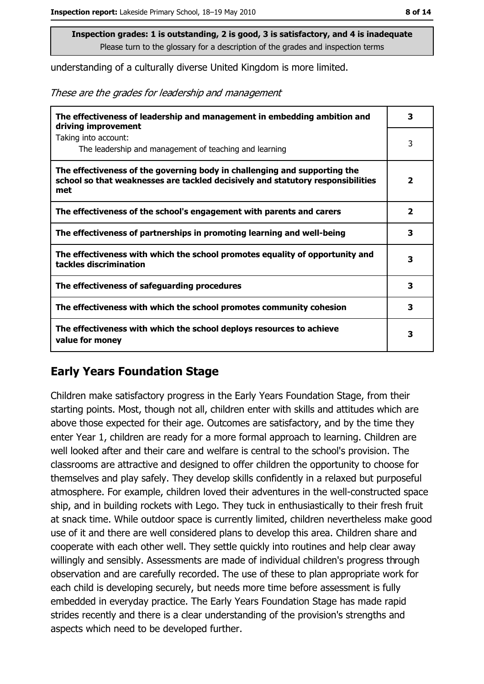understanding of a culturally diverse United Kingdom is more limited.

These are the grades for leadership and management

| The effectiveness of leadership and management in embedding ambition and<br>driving improvement                                                                     |                         |  |
|---------------------------------------------------------------------------------------------------------------------------------------------------------------------|-------------------------|--|
| Taking into account:<br>The leadership and management of teaching and learning                                                                                      | 3                       |  |
| The effectiveness of the governing body in challenging and supporting the<br>school so that weaknesses are tackled decisively and statutory responsibilities<br>met | $\overline{\mathbf{2}}$ |  |
| The effectiveness of the school's engagement with parents and carers                                                                                                | $\overline{\mathbf{2}}$ |  |
| The effectiveness of partnerships in promoting learning and well-being                                                                                              | 3                       |  |
| The effectiveness with which the school promotes equality of opportunity and<br>tackles discrimination                                                              | 3                       |  |
| The effectiveness of safeguarding procedures                                                                                                                        | 3                       |  |
| The effectiveness with which the school promotes community cohesion                                                                                                 | 3                       |  |
| The effectiveness with which the school deploys resources to achieve<br>value for money                                                                             | з                       |  |

### **Early Years Foundation Stage**

Children make satisfactory progress in the Early Years Foundation Stage, from their starting points. Most, though not all, children enter with skills and attitudes which are above those expected for their age. Outcomes are satisfactory, and by the time they enter Year 1, children are ready for a more formal approach to learning. Children are well looked after and their care and welfare is central to the school's provision. The classrooms are attractive and designed to offer children the opportunity to choose for themselves and play safely. They develop skills confidently in a relaxed but purposeful atmosphere. For example, children loved their adventures in the well-constructed space ship, and in building rockets with Lego. They tuck in enthusiastically to their fresh fruit at snack time. While outdoor space is currently limited, children nevertheless make good use of it and there are well considered plans to develop this area. Children share and cooperate with each other well. They settle quickly into routines and help clear away willingly and sensibly. Assessments are made of individual children's progress through observation and are carefully recorded. The use of these to plan appropriate work for each child is developing securely, but needs more time before assessment is fully embedded in everyday practice. The Early Years Foundation Stage has made rapid strides recently and there is a clear understanding of the provision's strengths and aspects which need to be developed further.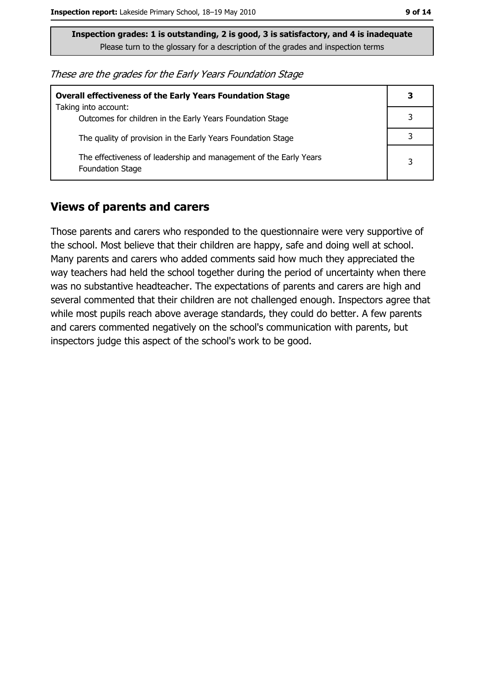These are the grades for the Early Years Foundation Stage

| <b>Overall effectiveness of the Early Years Foundation Stage</b>                             |   |  |  |
|----------------------------------------------------------------------------------------------|---|--|--|
| Taking into account:                                                                         |   |  |  |
| Outcomes for children in the Early Years Foundation Stage                                    |   |  |  |
| The quality of provision in the Early Years Foundation Stage                                 |   |  |  |
| The effectiveness of leadership and management of the Early Years<br><b>Foundation Stage</b> | 3 |  |  |

#### **Views of parents and carers**

Those parents and carers who responded to the questionnaire were very supportive of the school. Most believe that their children are happy, safe and doing well at school. Many parents and carers who added comments said how much they appreciated the way teachers had held the school together during the period of uncertainty when there was no substantive headteacher. The expectations of parents and carers are high and several commented that their children are not challenged enough. Inspectors agree that while most pupils reach above average standards, they could do better. A few parents and carers commented negatively on the school's communication with parents, but inspectors judge this aspect of the school's work to be good.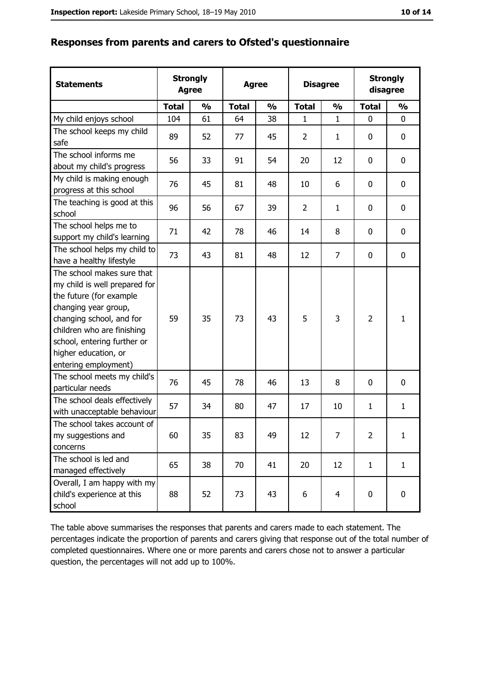| <b>Statements</b>                                                                                                                                                                                                                                       | <b>Agree</b> | <b>Strongly</b> | <b>Agree</b><br><b>Disagree</b> |               | <b>Strongly</b><br>disagree |                |                |               |
|---------------------------------------------------------------------------------------------------------------------------------------------------------------------------------------------------------------------------------------------------------|--------------|-----------------|---------------------------------|---------------|-----------------------------|----------------|----------------|---------------|
|                                                                                                                                                                                                                                                         | <b>Total</b> | $\frac{0}{0}$   | <b>Total</b>                    | $\frac{0}{0}$ | <b>Total</b>                | $\frac{0}{0}$  | <b>Total</b>   | $\frac{0}{0}$ |
| My child enjoys school                                                                                                                                                                                                                                  | 104          | 61              | 64                              | 38            | 1                           | $\mathbf{1}$   | 0              | $\mathbf 0$   |
| The school keeps my child<br>safe                                                                                                                                                                                                                       | 89           | 52              | 77                              | 45            | $\overline{2}$              | $\mathbf{1}$   | 0              | $\mathbf 0$   |
| The school informs me<br>about my child's progress                                                                                                                                                                                                      | 56           | 33              | 91                              | 54            | 20                          | 12             | 0              | 0             |
| My child is making enough<br>progress at this school                                                                                                                                                                                                    | 76           | 45              | 81                              | 48            | 10                          | 6              | 0              | $\mathbf 0$   |
| The teaching is good at this<br>school                                                                                                                                                                                                                  | 96           | 56              | 67                              | 39            | $\overline{2}$              | $\mathbf{1}$   | 0              | 0             |
| The school helps me to<br>support my child's learning                                                                                                                                                                                                   | 71           | 42              | 78                              | 46            | 14                          | 8              | 0              | 0             |
| The school helps my child to<br>have a healthy lifestyle                                                                                                                                                                                                | 73           | 43              | 81                              | 48            | 12                          | 7              | 0              | 0             |
| The school makes sure that<br>my child is well prepared for<br>the future (for example<br>changing year group,<br>changing school, and for<br>children who are finishing<br>school, entering further or<br>higher education, or<br>entering employment) | 59           | 35              | 73                              | 43            | 5                           | 3              | $\overline{2}$ | $\mathbf{1}$  |
| The school meets my child's<br>particular needs                                                                                                                                                                                                         | 76           | 45              | 78                              | 46            | 13                          | 8              | 0              | 0             |
| The school deals effectively<br>with unacceptable behaviour                                                                                                                                                                                             | 57           | 34              | 80                              | 47            | 17                          | 10             | 1              | $\mathbf{1}$  |
| The school takes account of<br>my suggestions and<br>concerns                                                                                                                                                                                           | 60           | 35              | 83                              | 49            | 12                          | 7              | $\overline{2}$ | $\mathbf{1}$  |
| The school is led and<br>managed effectively                                                                                                                                                                                                            | 65           | 38              | 70                              | 41            | 20                          | 12             | $\mathbf{1}$   | $\mathbf{1}$  |
| Overall, I am happy with my<br>child's experience at this<br>school                                                                                                                                                                                     | 88           | 52              | 73                              | 43            | 6                           | $\overline{4}$ | 0              | 0             |

The table above summarises the responses that parents and carers made to each statement. The percentages indicate the proportion of parents and carers giving that response out of the total number of completed questionnaires. Where one or more parents and carers chose not to answer a particular question, the percentages will not add up to 100%.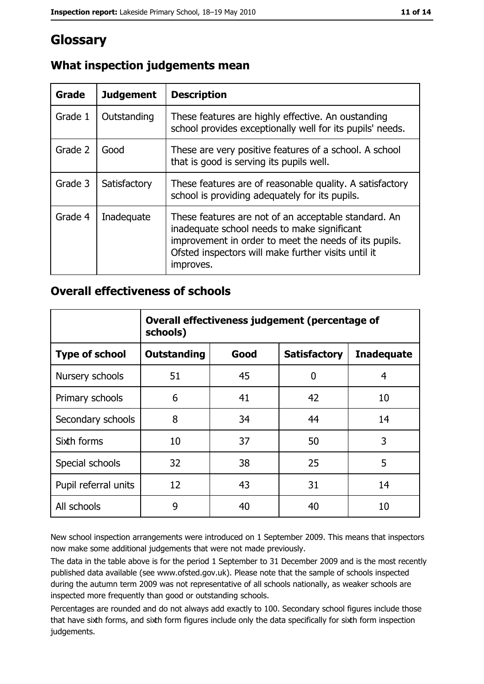# Glossary

| Grade   | <b>Judgement</b> | <b>Description</b>                                                                                                                                                                                                               |
|---------|------------------|----------------------------------------------------------------------------------------------------------------------------------------------------------------------------------------------------------------------------------|
| Grade 1 | Outstanding      | These features are highly effective. An oustanding<br>school provides exceptionally well for its pupils' needs.                                                                                                                  |
| Grade 2 | Good             | These are very positive features of a school. A school<br>that is good is serving its pupils well.                                                                                                                               |
| Grade 3 | Satisfactory     | These features are of reasonable quality. A satisfactory<br>school is providing adequately for its pupils.                                                                                                                       |
| Grade 4 | Inadequate       | These features are not of an acceptable standard. An<br>inadequate school needs to make significant<br>improvement in order to meet the needs of its pupils.<br>Ofsted inspectors will make further visits until it<br>improves. |

### What inspection judgements mean

### **Overall effectiveness of schools**

|                       | Overall effectiveness judgement (percentage of<br>schools) |      |                     |                   |  |
|-----------------------|------------------------------------------------------------|------|---------------------|-------------------|--|
| <b>Type of school</b> | <b>Outstanding</b>                                         | Good | <b>Satisfactory</b> | <b>Inadequate</b> |  |
| Nursery schools       | 51                                                         | 45   | 0                   | 4                 |  |
| Primary schools       | 6                                                          | 41   | 42                  | 10                |  |
| Secondary schools     | 8                                                          | 34   | 44                  | 14                |  |
| Sixth forms           | 10                                                         | 37   | 50                  | 3                 |  |
| Special schools       | 32                                                         | 38   | 25                  | 5                 |  |
| Pupil referral units  | 12                                                         | 43   | 31                  | 14                |  |
| All schools           | 9                                                          | 40   | 40                  | 10                |  |

New school inspection arrangements were introduced on 1 September 2009. This means that inspectors now make some additional judgements that were not made previously.

The data in the table above is for the period 1 September to 31 December 2009 and is the most recently published data available (see www.ofsted.gov.uk). Please note that the sample of schools inspected during the autumn term 2009 was not representative of all schools nationally, as weaker schools are inspected more frequently than good or outstanding schools.

Percentages are rounded and do not always add exactly to 100. Secondary school figures include those that have sixth forms, and sixth form figures include only the data specifically for sixth form inspection judgements.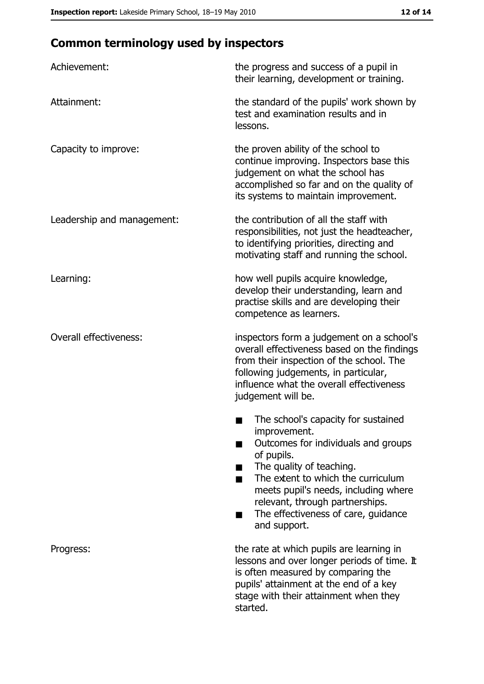# **Common terminology used by inspectors**

| Achievement:                  | the progress and success of a pupil in<br>their learning, development or training.                                                                                                                                                                                                                           |
|-------------------------------|--------------------------------------------------------------------------------------------------------------------------------------------------------------------------------------------------------------------------------------------------------------------------------------------------------------|
| Attainment:                   | the standard of the pupils' work shown by<br>test and examination results and in<br>lessons.                                                                                                                                                                                                                 |
| Capacity to improve:          | the proven ability of the school to<br>continue improving. Inspectors base this<br>judgement on what the school has<br>accomplished so far and on the quality of<br>its systems to maintain improvement.                                                                                                     |
| Leadership and management:    | the contribution of all the staff with<br>responsibilities, not just the headteacher,<br>to identifying priorities, directing and<br>motivating staff and running the school.                                                                                                                                |
| Learning:                     | how well pupils acquire knowledge,<br>develop their understanding, learn and<br>practise skills and are developing their<br>competence as learners.                                                                                                                                                          |
| <b>Overall effectiveness:</b> | inspectors form a judgement on a school's<br>overall effectiveness based on the findings<br>from their inspection of the school. The<br>following judgements, in particular,<br>influence what the overall effectiveness<br>judgement will be.                                                               |
|                               | The school's capacity for sustained<br>improvement.<br>Outcomes for individuals and groups<br>of pupils.<br>The quality of teaching.<br>The extent to which the curriculum<br>meets pupil's needs, including where<br>relevant, through partnerships.<br>The effectiveness of care, guidance<br>and support. |
| Progress:                     | the rate at which pupils are learning in<br>lessons and over longer periods of time. It<br>is often measured by comparing the<br>pupils' attainment at the end of a key<br>stage with their attainment when they<br>started.                                                                                 |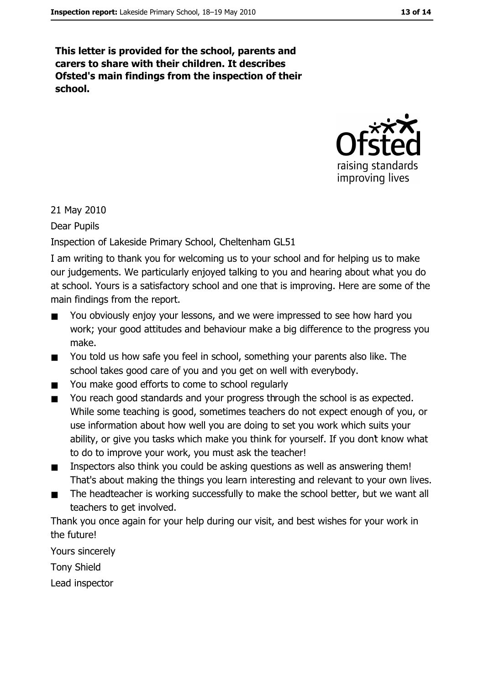This letter is provided for the school, parents and carers to share with their children. It describes Ofsted's main findings from the inspection of their school.



21 May 2010

Dear Pupils

Inspection of Lakeside Primary School, Cheltenham GL51

I am writing to thank you for welcoming us to your school and for helping us to make our judgements. We particularly enjoyed talking to you and hearing about what you do at school. Yours is a satisfactory school and one that is improving. Here are some of the main findings from the report.

- You obviously enjoy your lessons, and we were impressed to see how hard you  $\blacksquare$ work; your good attitudes and behaviour make a big difference to the progress you make.
- You told us how safe you feel in school, something your parents also like. The  $\blacksquare$ school takes good care of you and you get on well with everybody.
- You make good efforts to come to school regularly .
- You reach good standards and your progress through the school is as expected.  $\blacksquare$ While some teaching is good, sometimes teachers do not expect enough of you, or use information about how well you are doing to set you work which suits your ability, or give you tasks which make you think for yourself. If you don't know what to do to improve your work, you must ask the teacher!
- Inspectors also think you could be asking questions as well as answering them!  $\blacksquare$ That's about making the things you learn interesting and relevant to your own lives.
- The headteacher is working successfully to make the school better, but we want all  $\blacksquare$ teachers to get involved.

Thank you once again for your help during our visit, and best wishes for your work in the future!

Yours sincerely

**Tony Shield** 

Lead inspector